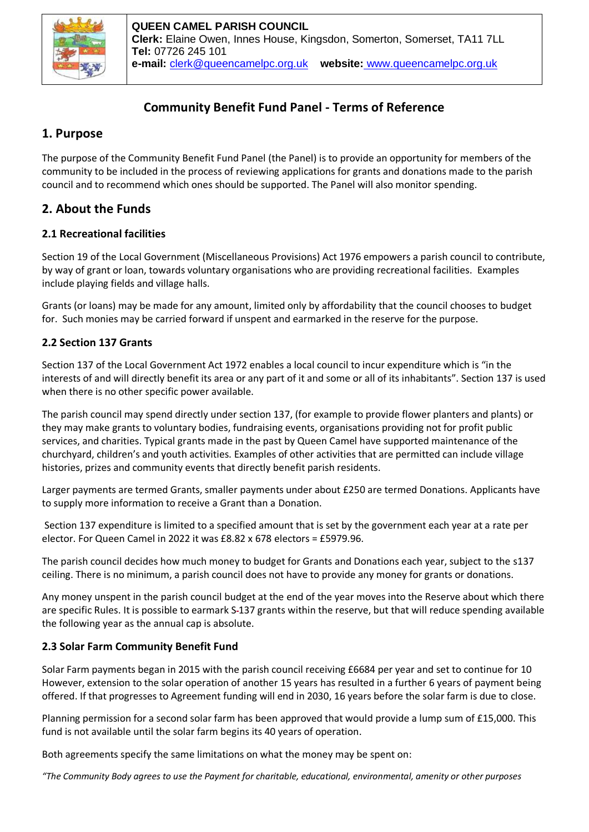

# **Community Benefit Fund Panel - Terms of Reference**

# **1. Purpose**

The purpose of the Community Benefit Fund Panel (the Panel) is to provide an opportunity for members of the community to be included in the process of reviewing applications for grants and donations made to the parish council and to recommend which ones should be supported. The Panel will also monitor spending.

# **2. About the Funds**

## **2.1 Recreational facilities**

Section 19 of the Local Government (Miscellaneous Provisions) Act 1976 empowers a parish council to contribute, by way of grant or loan, towards voluntary organisations who are providing recreational facilities. Examples include playing fields and village halls.

Grants (or loans) may be made for any amount, limited only by affordability that the council chooses to budget for. Such monies may be carried forward if unspent and earmarked in the reserve for the purpose.

## **2.2 Section 137 Grants**

Section 137 of the Local Government Act 1972 enables a local council to incur expenditure which is "in the interests of and will directly benefit its area or any part of it and some or all of its inhabitants". Section 137 is used when there is no other specific power available.

The parish council may spend directly under section 137, (for example to provide flower planters and plants) or they may make grants to voluntary bodies, fundraising events, organisations providing not for profit public services, and charities. Typical grants made in the past by Queen Camel have supported maintenance of the churchyard, children's and youth activities. Examples of other activities that are permitted can include village histories, prizes and community events that directly benefit parish residents.

Larger payments are termed Grants, smaller payments under about £250 are termed Donations. Applicants have to supply more information to receive a Grant than a Donation.

Section 137 expenditure is limited to a specified amount that is set by the government each year at a rate per elector. For Queen Camel in 2022 it was £8.82 x 678 electors = £5979.96.

The parish council decides how much money to budget for Grants and Donations each year, subject to the s137 ceiling. There is no minimum, a parish council does not have to provide any money for grants or donations.

Any money unspent in the parish council budget at the end of the year moves into the Reserve about which there are specific Rules. It is possible to earmark S-137 grants within the reserve, but that will reduce spending available the following year as the annual cap is absolute.

## **2.3 Solar Farm Community Benefit Fund**

Solar Farm payments began in 2015 with the parish council receiving £6684 per year and set to continue for 10 However, extension to the solar operation of another 15 years has resulted in a further 6 years of payment being offered. If that progresses to Agreement funding will end in 2030, 16 years before the solar farm is due to close.

Planning permission for a second solar farm has been approved that would provide a lump sum of £15,000. This fund is not available until the solar farm begins its 40 years of operation.

Both agreements specify the same limitations on what the money may be spent on:

*"The Community Body agrees to use the Payment for charitable, educational, environmental, amenity or other purposes*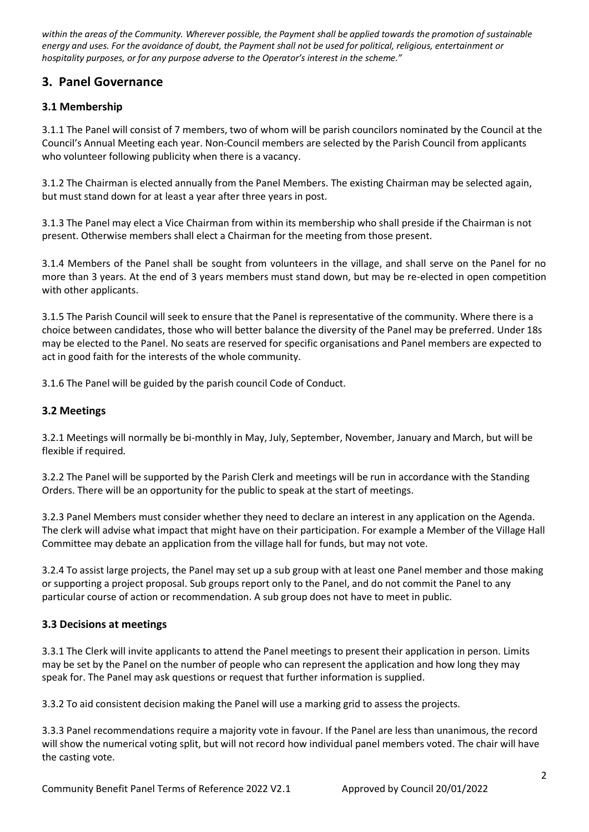*within the areas of the Community. Wherever possible, the Payment shall be applied towards the promotion of sustainable energy and uses. For the avoidance of doubt, the Payment shall not be used for political, religious, entertainment or hospitality purposes, or for any purpose adverse to the Operator's interest in the scheme."*

# **3. Panel Governance**

### **3.1 Membership**

3.1.1 The Panel will consist of 7 members, two of whom will be parish councilors nominated by the Council at the Council's Annual Meeting each year. Non-Council members are selected by the Parish Council from applicants who volunteer following publicity when there is a vacancy.

3.1.2 The Chairman is elected annually from the Panel Members. The existing Chairman may be selected again, but must stand down for at least a year after three years in post.

3.1.3 The Panel may elect a Vice Chairman from within its membership who shall preside if the Chairman is not present. Otherwise members shall elect a Chairman for the meeting from those present.

3.1.4 Members of the Panel shall be sought from volunteers in the village, and shall serve on the Panel for no more than 3 years. At the end of 3 years members must stand down, but may be re-elected in open competition with other applicants.

3.1.5 The Parish Council will seek to ensure that the Panel is representative of the community. Where there is a choice between candidates, those who will better balance the diversity of the Panel may be preferred. Under 18s may be elected to the Panel. No seats are reserved for specific organisations and Panel members are expected to act in good faith for the interests of the whole community.

3.1.6 The Panel will be guided by the parish council Code of Conduct.

### **3.2 Meetings**

3.2.1 Meetings will normally be bi-monthly in May, July, September, November, January and March, but will be flexible if required.

3.2.2 The Panel will be supported by the Parish Clerk and meetings will be run in accordance with the Standing Orders. There will be an opportunity for the public to speak at the start of meetings.

3.2.3 Panel Members must consider whether they need to declare an interest in any application on the Agenda. The clerk will advise what impact that might have on their participation. For example a Member of the Village Hall Committee may debate an application from the village hall for funds, but may not vote.

3.2.4 To assist large projects, the Panel may set up a sub group with at least one Panel member and those making or supporting a project proposal. Sub groups report only to the Panel, and do not commit the Panel to any particular course of action or recommendation. A sub group does not have to meet in public.

### **3.3 Decisions at meetings**

3.3.1 The Clerk will invite applicants to attend the Panel meetings to present their application in person. Limits may be set by the Panel on the number of people who can represent the application and how long they may speak for. The Panel may ask questions or request that further information is supplied.

3.3.2 To aid consistent decision making the Panel will use a marking grid to assess the projects.

3.3.3 Panel recommendations require a majority vote in favour. If the Panel are less than unanimous, the record will show the numerical voting split, but will not record how individual panel members voted. The chair will have the casting vote.